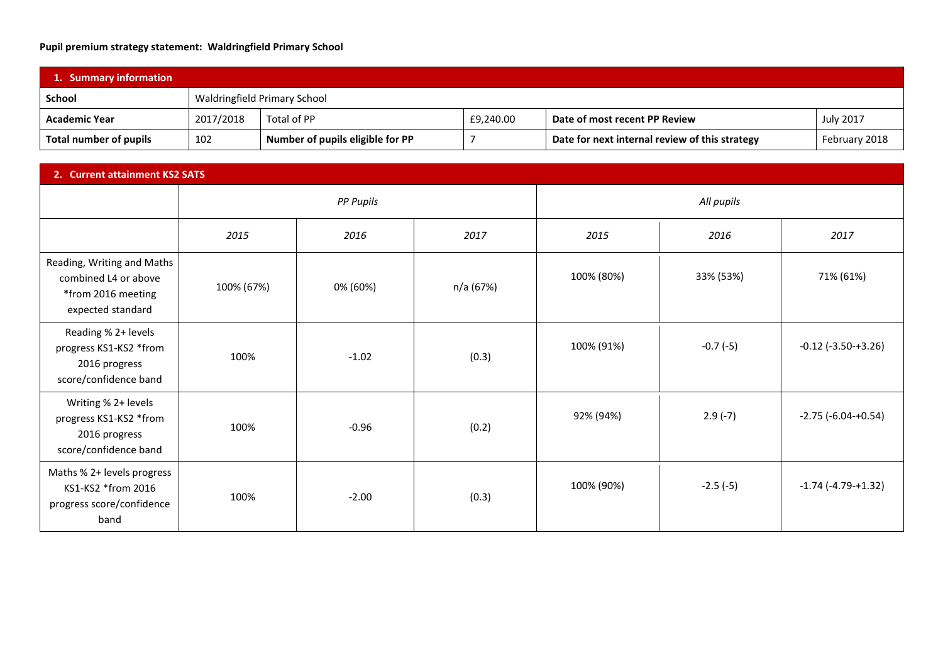## **Pupil premium strategy statement: Waldringfield Primary School**

| 1. Summary information        |           |                                  |           |                                                |                  |  |
|-------------------------------|-----------|----------------------------------|-----------|------------------------------------------------|------------------|--|
| <b>School</b>                 |           | Waldringfield Primary School     |           |                                                |                  |  |
| <b>Academic Year</b>          | 2017/2018 | Total of PP                      | £9,240.00 | Date of most recent PP Review                  | <b>July 2017</b> |  |
| <b>Total number of pupils</b> | 102       | Number of pupils eligible for PP |           | Date for next internal review of this strategy | February 2018    |  |

| 2. Current attainment KS2 SATS                                                                |            |                  |           |            |            |                             |
|-----------------------------------------------------------------------------------------------|------------|------------------|-----------|------------|------------|-----------------------------|
|                                                                                               |            | <b>PP Pupils</b> |           | All pupils |            |                             |
|                                                                                               | 2015       | 2016             | 2017      | 2015       | 2016       | 2017                        |
| Reading, Writing and Maths<br>combined L4 or above<br>*from 2016 meeting<br>expected standard | 100% (67%) | 0% (60%)         | n/a (67%) | 100% (80%) | 33% (53%)  | 71% (61%)                   |
| Reading % 2+ levels<br>progress KS1-KS2 *from<br>2016 progress<br>score/confidence band       | 100%       | $-1.02$          | (0.3)     | 100% (91%) | $-0.7(-5)$ | $-0.12$ ( $-3.50 - +3.26$ ) |
| Writing % 2+ levels<br>progress KS1-KS2 *from<br>2016 progress<br>score/confidence band       | 100%       | $-0.96$          | (0.2)     | 92% (94%)  | $2.9(-7)$  | $-2.75$ ( $-6.04$ $+0.54$ ) |
| Maths % 2+ levels progress<br>KS1-KS2 *from 2016<br>progress score/confidence<br>band         | 100%       | $-2.00$          | (0.3)     | 100% (90%) | $-2.5(-5)$ | $-1.74$ ( $-4.79 - +1.32$ ) |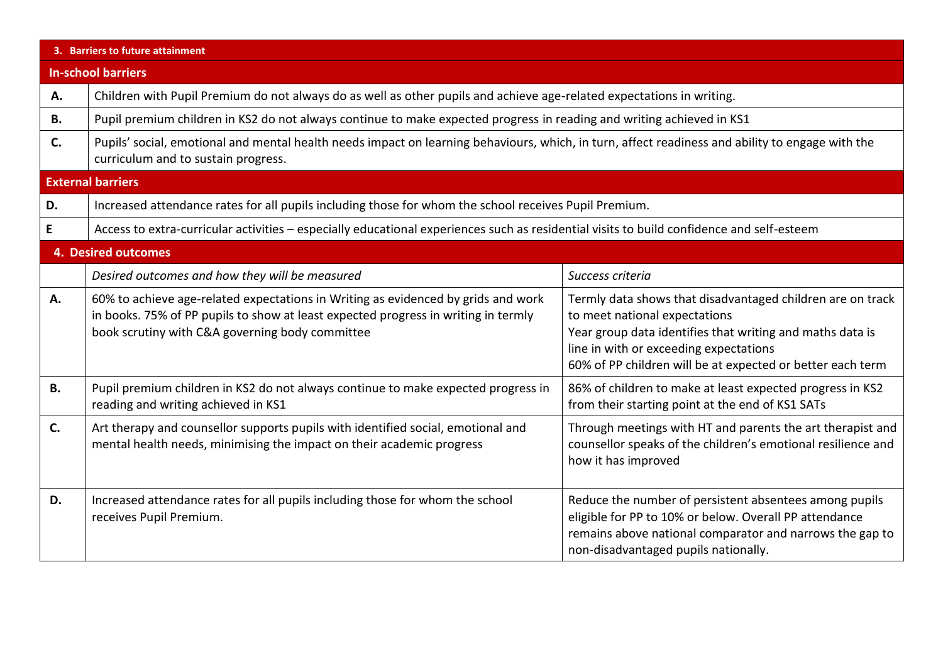|                            | 3. Barriers to future attainment                                                                                                                                                                                           |                                                                                                                                                                                                                                                                  |  |  |  |
|----------------------------|----------------------------------------------------------------------------------------------------------------------------------------------------------------------------------------------------------------------------|------------------------------------------------------------------------------------------------------------------------------------------------------------------------------------------------------------------------------------------------------------------|--|--|--|
| <b>In-school barriers</b>  |                                                                                                                                                                                                                            |                                                                                                                                                                                                                                                                  |  |  |  |
| Α.                         | Children with Pupil Premium do not always do as well as other pupils and achieve age-related expectations in writing.                                                                                                      |                                                                                                                                                                                                                                                                  |  |  |  |
| В.                         | Pupil premium children in KS2 do not always continue to make expected progress in reading and writing achieved in KS1                                                                                                      |                                                                                                                                                                                                                                                                  |  |  |  |
| C.                         | Pupils' social, emotional and mental health needs impact on learning behaviours, which, in turn, affect readiness and ability to engage with the<br>curriculum and to sustain progress.                                    |                                                                                                                                                                                                                                                                  |  |  |  |
|                            | <b>External barriers</b>                                                                                                                                                                                                   |                                                                                                                                                                                                                                                                  |  |  |  |
| D.                         | Increased attendance rates for all pupils including those for whom the school receives Pupil Premium.                                                                                                                      |                                                                                                                                                                                                                                                                  |  |  |  |
| E                          | Access to extra-curricular activities - especially educational experiences such as residential visits to build confidence and self-esteem                                                                                  |                                                                                                                                                                                                                                                                  |  |  |  |
| <b>4. Desired outcomes</b> |                                                                                                                                                                                                                            |                                                                                                                                                                                                                                                                  |  |  |  |
|                            | Desired outcomes and how they will be measured                                                                                                                                                                             | Success criteria                                                                                                                                                                                                                                                 |  |  |  |
| Α.                         | 60% to achieve age-related expectations in Writing as evidenced by grids and work<br>in books. 75% of PP pupils to show at least expected progress in writing in termly<br>book scrutiny with C&A governing body committee | Termly data shows that disadvantaged children are on track<br>to meet national expectations<br>Year group data identifies that writing and maths data is<br>line in with or exceeding expectations<br>60% of PP children will be at expected or better each term |  |  |  |
| <b>B.</b>                  | Pupil premium children in KS2 do not always continue to make expected progress in<br>reading and writing achieved in KS1                                                                                                   | 86% of children to make at least expected progress in KS2<br>from their starting point at the end of KS1 SATs                                                                                                                                                    |  |  |  |
| C.                         | Art therapy and counsellor supports pupils with identified social, emotional and<br>mental health needs, minimising the impact on their academic progress                                                                  | Through meetings with HT and parents the art therapist and<br>counsellor speaks of the children's emotional resilience and<br>how it has improved                                                                                                                |  |  |  |
| D.                         | Increased attendance rates for all pupils including those for whom the school<br>receives Pupil Premium.                                                                                                                   | Reduce the number of persistent absentees among pupils<br>eligible for PP to 10% or below. Overall PP attendance<br>remains above national comparator and narrows the gap to<br>non-disadvantaged pupils nationally.                                             |  |  |  |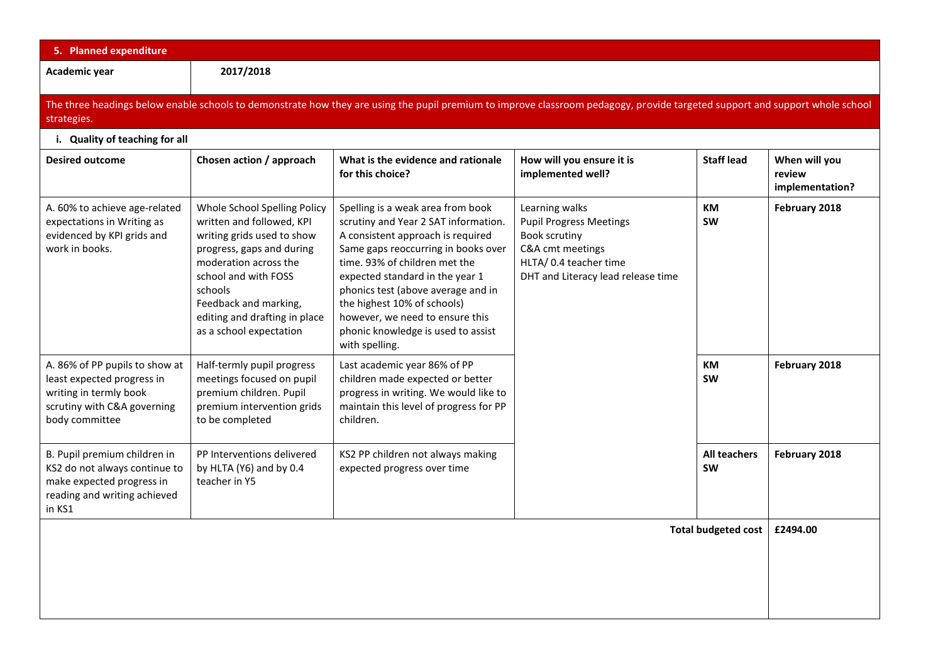| 5. Planned expenditure                                                                                                                                                                      |                                                                                                                                                                                                                                                                       |                                                                                                                                                                                                                                                                                                                                                                                           |                                                                                                                                                              |                                  |                                            |  |
|---------------------------------------------------------------------------------------------------------------------------------------------------------------------------------------------|-----------------------------------------------------------------------------------------------------------------------------------------------------------------------------------------------------------------------------------------------------------------------|-------------------------------------------------------------------------------------------------------------------------------------------------------------------------------------------------------------------------------------------------------------------------------------------------------------------------------------------------------------------------------------------|--------------------------------------------------------------------------------------------------------------------------------------------------------------|----------------------------------|--------------------------------------------|--|
| Academic year                                                                                                                                                                               | 2017/2018                                                                                                                                                                                                                                                             |                                                                                                                                                                                                                                                                                                                                                                                           |                                                                                                                                                              |                                  |                                            |  |
| The three headings below enable schools to demonstrate how they are using the pupil premium to improve classroom pedagogy, provide targeted support and support whole school<br>strategies. |                                                                                                                                                                                                                                                                       |                                                                                                                                                                                                                                                                                                                                                                                           |                                                                                                                                                              |                                  |                                            |  |
| i. Quality of teaching for all                                                                                                                                                              |                                                                                                                                                                                                                                                                       |                                                                                                                                                                                                                                                                                                                                                                                           |                                                                                                                                                              |                                  |                                            |  |
| <b>Desired outcome</b>                                                                                                                                                                      | Chosen action / approach                                                                                                                                                                                                                                              | What is the evidence and rationale<br>for this choice?                                                                                                                                                                                                                                                                                                                                    | How will you ensure it is<br>implemented well?                                                                                                               | <b>Staff lead</b>                | When will you<br>review<br>implementation? |  |
| A. 60% to achieve age-related<br>expectations in Writing as<br>evidenced by KPI grids and<br>work in books.                                                                                 | Whole School Spelling Policy<br>written and followed, KPI<br>writing grids used to show<br>progress, gaps and during<br>moderation across the<br>school and with FOSS<br>schools<br>Feedback and marking,<br>editing and drafting in place<br>as a school expectation | Spelling is a weak area from book<br>scrutiny and Year 2 SAT information.<br>A consistent approach is required<br>Same gaps reoccurring in books over<br>time. 93% of children met the<br>expected standard in the year 1<br>phonics test (above average and in<br>the highest 10% of schools)<br>however, we need to ensure this<br>phonic knowledge is used to assist<br>with spelling. | Learning walks<br><b>Pupil Progress Meetings</b><br><b>Book scrutiny</b><br>C&A cmt meetings<br>HLTA/ 0.4 teacher time<br>DHT and Literacy lead release time | <b>KM</b><br><b>SW</b>           | February 2018                              |  |
| A. 86% of PP pupils to show at<br>least expected progress in<br>writing in termly book<br>scrutiny with C&A governing<br>body committee                                                     | Half-termly pupil progress<br>meetings focused on pupil<br>premium children. Pupil<br>premium intervention grids<br>to be completed                                                                                                                                   | Last academic year 86% of PP<br>children made expected or better<br>progress in writing. We would like to<br>maintain this level of progress for PP<br>children.                                                                                                                                                                                                                          |                                                                                                                                                              | <b>KM</b><br><b>SW</b>           | February 2018                              |  |
| B. Pupil premium children in<br>KS2 do not always continue to<br>make expected progress in<br>reading and writing achieved<br>in KS1                                                        | PP Interventions delivered<br>by HLTA (Y6) and by 0.4<br>teacher in Y5                                                                                                                                                                                                | KS2 PP children not always making<br>expected progress over time                                                                                                                                                                                                                                                                                                                          |                                                                                                                                                              | <b>All teachers</b><br><b>SW</b> | February 2018                              |  |
| <b>Total budgeted cost</b>                                                                                                                                                                  |                                                                                                                                                                                                                                                                       |                                                                                                                                                                                                                                                                                                                                                                                           |                                                                                                                                                              |                                  |                                            |  |
|                                                                                                                                                                                             |                                                                                                                                                                                                                                                                       |                                                                                                                                                                                                                                                                                                                                                                                           |                                                                                                                                                              |                                  |                                            |  |
|                                                                                                                                                                                             |                                                                                                                                                                                                                                                                       |                                                                                                                                                                                                                                                                                                                                                                                           |                                                                                                                                                              |                                  |                                            |  |